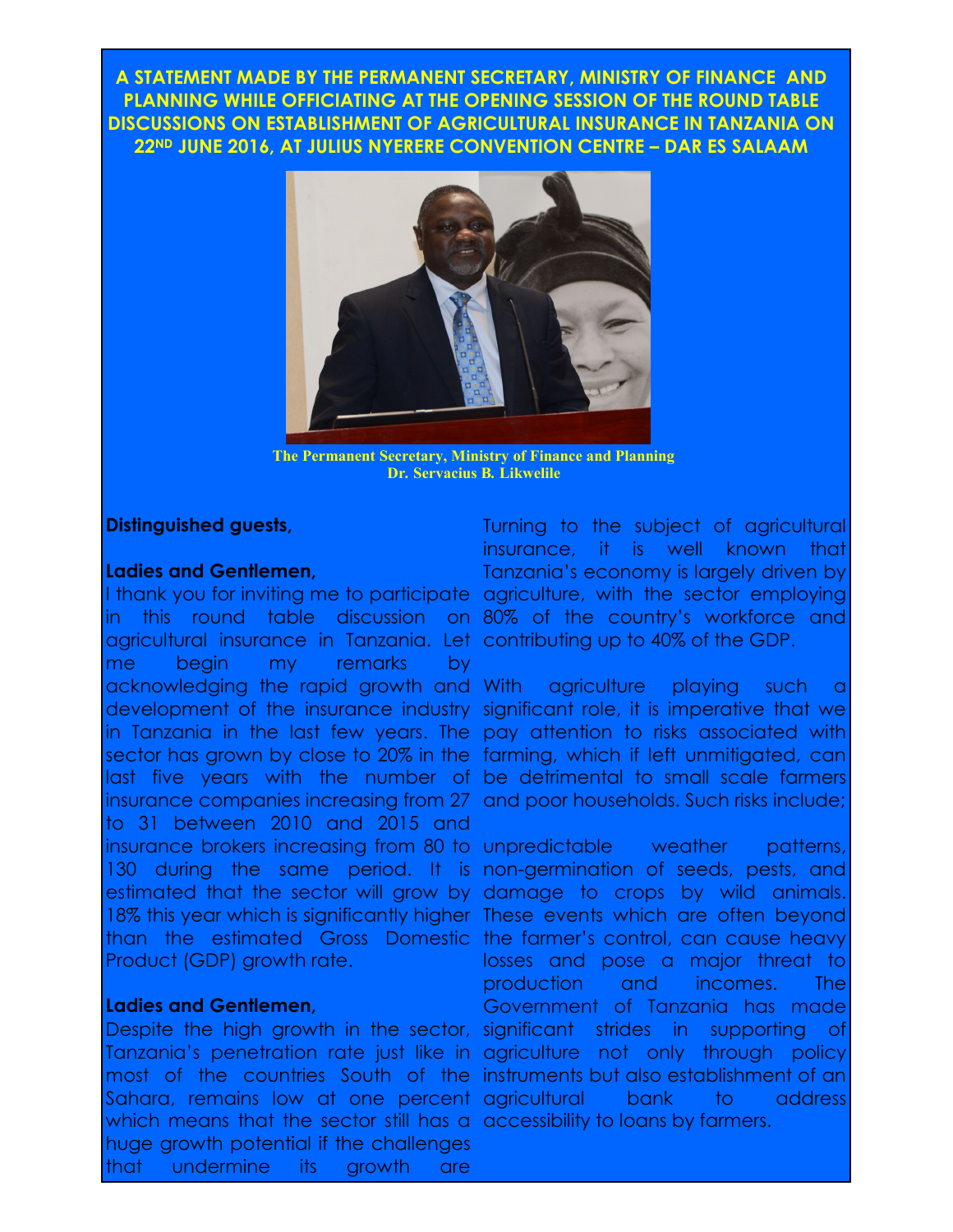**A STATEMENT MADE BY THE PERMANENT SECRETARY, MINISTRY OF FINANCE AND PLANNING WHILE OFFICIATING AT THE OPENING SESSION OF THE ROUND TABLE DISCUSSIONS ON ESTABLISHMENT OF AGRICULTURAL INSURANCE IN TANZANIA ON 22ND JUNE 2016, AT JULIUS NYERERE CONVENTION CENTRE – DAR ES SALAAM**



**The Permanent Secretary, Ministry of Finance and Planning Dr***.* **Servacius B***.* **Likwelile**

### **Distinguished guests,**

#### **Ladies and Gentlemen,**

I thank you for inviting me to participate agriculture, with the sector employing in this round table discussion on 80% of the country's workforce and agricultural insurance in Tanzania. Let contributing up to 40% of the GDP. me begin my remarks by acknowledging the rapid growth and With agriculture playing such a development of the insurance industry significant role, it is imperative that we in Tanzania in the last few years. The pay attention to risks associated with sector has grown by close to 20% in the farming, which if left unmitigated, can last five years with the number of be detrimental to small scale farmers insurance companies increasing from 27 and poor households. Such risks include; to 31 between 2010 and 2015 and insurance brokers increasing from 80 to unpredictable weather patterns, 130 during the same period. It is non-germination of seeds, pests, and estimated that the sector will grow by damage to crops by wild animals. 18% this year which is significantly higher These events which are often beyond than the estimated Gross Domestic the farmer's control, can cause heavy Product (GDP) growth rate.

#### **Ladies and Gentlemen,**

Despite the high growth in the sector, significant strides in supporting of Tanzania's penetration rate just like in agriculture not only through policy most of the countries South of the instruments but also establishment of an Sahara, remains low at one percent agricultural bank to address which means that the sector still has a accessibility to loans by farmers. huge growth potential if the challenges that undermine its growth are

Turning to the subject of agricultural insurance, it is well known that Tanzania's economy is largely driven by

losses and pose a major threat to production and incomes. The Government of Tanzania has made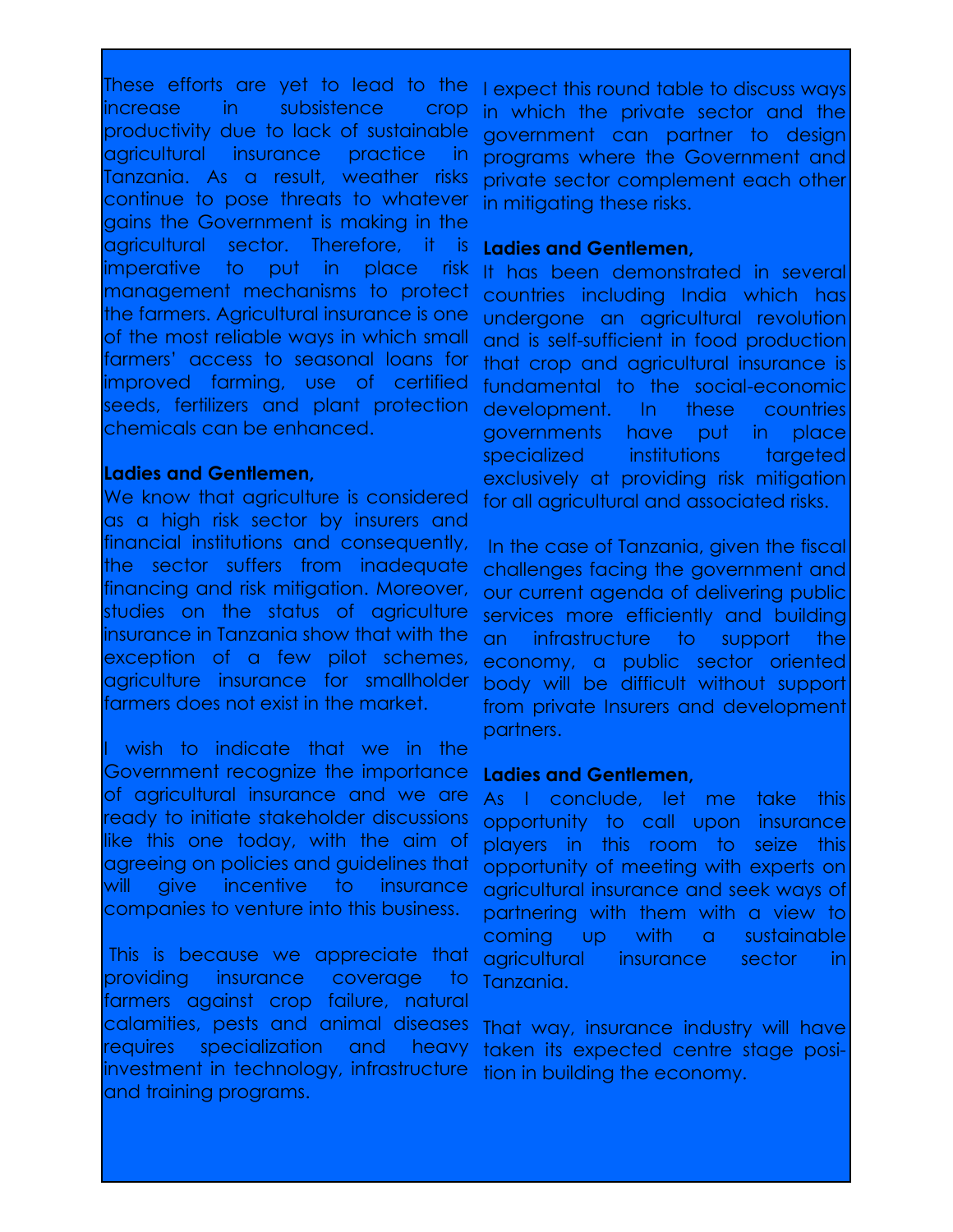These efforts are yet to lead to the increase in subsistence crop productivity due to lack of sustainable agricultural insurance practice in Tanzania. As a result, weather risks continue to pose threats to whatever gains the Government is making in the agricultural sector. Therefore, it is imperative to put in place risk management mechanisms to protect the farmers. Agricultural insurance is one of the most reliable ways in which small farmers' access to seasonal loans for improved farming, use of certified seeds, fertilizers and plant protection chemicals can be enhanced.

# **Ladies and Gentlemen,**

We know that agriculture is considered as a high risk sector by insurers and financial institutions and consequently, the sector suffers from inadequate financing and risk mitigation. Moreover, studies on the status of agriculture insurance in Tanzania show that with the exception of a few pilot schemes, agriculture insurance for smallholder farmers does not exist in the market.

I wish to indicate that we in the Government recognize the importance of agricultural insurance and we are ready to initiate stakeholder discussions like this one today, with the aim of agreeing on policies and guidelines that will give incentive to insurance companies to venture into this business.

This is because we appreciate that providing insurance coverage to farmers against crop failure, natural calamities, pests and animal diseases requires specialization and heavy investment in technology, infrastructure and training programs.

I expect this round table to discuss ways in which the private sector and the government can partner to design programs where the Government and private sector complement each other in mitigating these risks.

### **Ladies and Gentlemen,**

It has been demonstrated in several countries including India which has undergone an agricultural revolution and is self-sufficient in food production that crop and agricultural insurance is fundamental to the social-economic development. In these countries governments have put in place specialized institutions targeted exclusively at providing risk mitigation for all agricultural and associated risks.

In the case of Tanzania, given the fiscal challenges facing the government and our current agenda of delivering public services more efficiently and building an infrastructure to support the economy, a public sector oriented body will be difficult without support from private Insurers and development partners.

#### **Ladies and Gentlemen,**

As I conclude, let me take this opportunity to call upon insurance players in this room to seize this opportunity of meeting with experts on agricultural insurance and seek ways of partnering with them with a view to coming up with a sustainable agricultural insurance sector in Tanzania.

That way, insurance industry will have taken its expected centre stage position in building the economy.